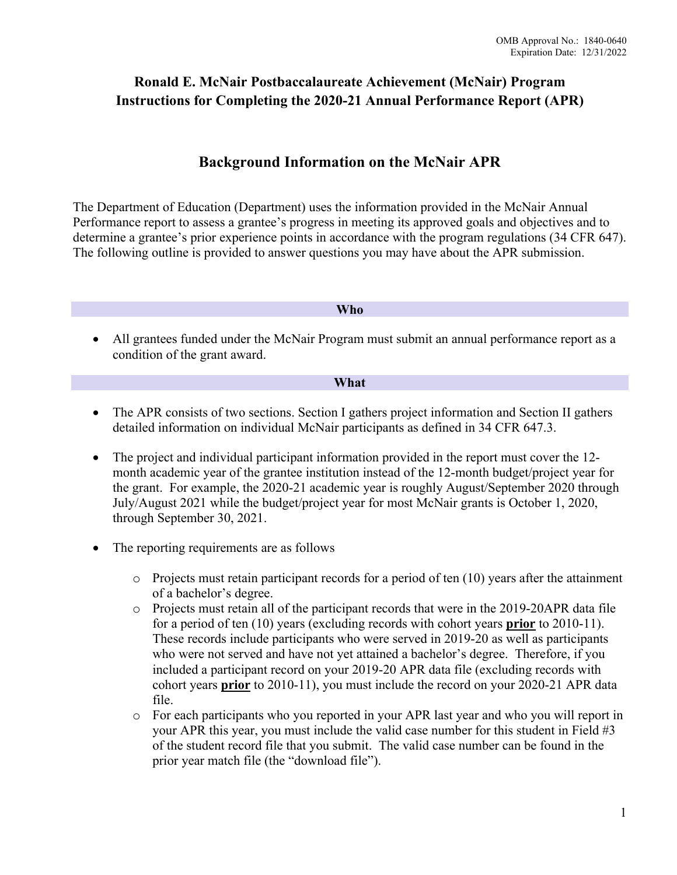# **Ronald E. McNair Postbaccalaureate Achievement (McNair) Program Instructions for Completing the 2020-21 Annual Performance Report (APR)**

# **Background Information on the McNair APR**

The Department of Education (Department) uses the information provided in the McNair Annual Performance report to assess a grantee's progress in meeting its approved goals and objectives and to determine a grantee's prior experience points in accordance with the program regulations (34 CFR 647). The following outline is provided to answer questions you may have about the APR submission.

#### **Who**

• All grantees funded under the McNair Program must submit an annual performance report as a condition of the grant award.

#### **What**

- The APR consists of two sections. Section I gathers project information and Section II gathers detailed information on individual McNair participants as defined in 34 CFR 647.3.
- The project and individual participant information provided in the report must cover the 12month academic year of the grantee institution instead of the 12-month budget/project year for the grant. For example, the 2020-21 academic year is roughly August/September 2020 through July/August 2021 while the budget/project year for most McNair grants is October 1, 2020, through September 30, 2021.
- The reporting requirements are as follows
	- $\circ$  Projects must retain participant records for a period of ten (10) years after the attainment of a bachelor's degree.
	- $\circ$  Projects must retain all of the participant records that were in the 2019-20APR data file for a period of ten (10) years (excluding records with cohort years **prior** to 2010-11). These records include participants who were served in 2019-20 as well as participants who were not served and have not yet attained a bachelor's degree. Therefore, if you included a participant record on your 2019-20 APR data file (excluding records with cohort years **prior** to 2010-11), you must include the record on your 2020-21 APR data file.
	- o For each participants who you reported in your APR last year and who you will report in your APR this year, you must include the valid case number for this student in Field #3 of the student record file that you submit. The valid case number can be found in the prior year match file (the "download file").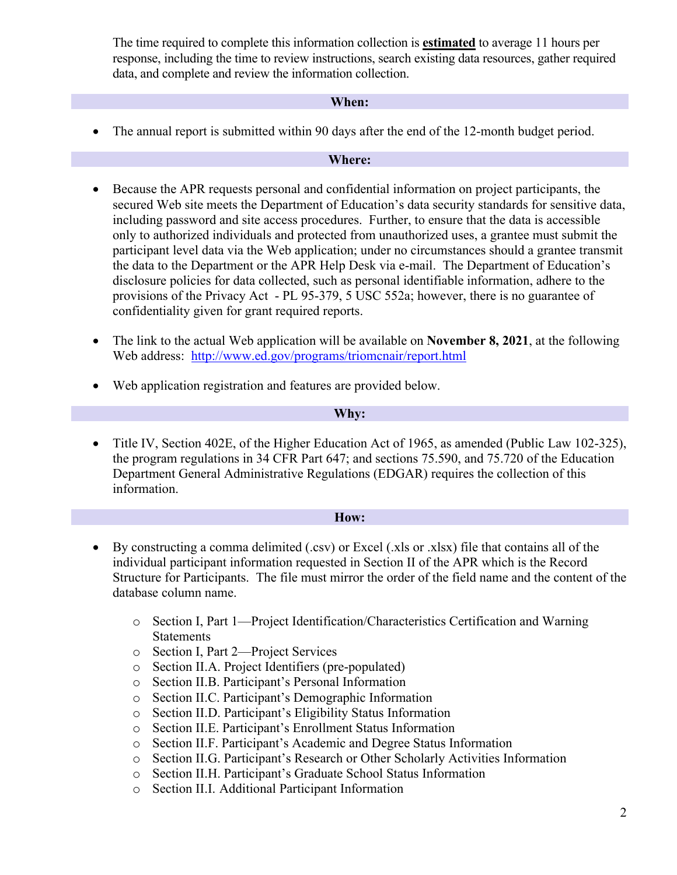The time required to complete this information collection is **estimated** to average 11 hours per response, including the time to review instructions, search existing data resources, gather required data, and complete and review the information collection.

#### **When:**

• The annual report is submitted within 90 days after the end of the 12-month budget period.

#### **Where:**

- Because the APR requests personal and confidential information on project participants, the secured Web site meets the Department of Education's data security standards for sensitive data, including password and site access procedures. Further, to ensure that the data is accessible only to authorized individuals and protected from unauthorized uses, a grantee must submit the participant level data via the Web application; under no circumstances should a grantee transmit the data to the Department or the APR Help Desk via e-mail. The Department of Education's disclosure policies for data collected, such as personal identifiable information, adhere to the provisions of the Privacy Act - PL 95-379, 5 USC 552a; however, there is no guarantee of confidentiality given for grant required reports.
- The link to the actual Web application will be available on **November 8, 2021**, at the following Web address: <http://www.ed.gov/programs/triomcnair/report.html>
- Web application registration and features are provided below.

#### **Why:**

• Title IV, Section 402E, of the Higher Education Act of 1965, as amended (Public Law 102-325), the program regulations in 34 CFR Part 647; and sections 75.590, and 75.720 of the Education Department General Administrative Regulations (EDGAR) requires the collection of this information.

#### **How:**

- By constructing a comma delimited (.csv) or Excel (.xls or .xlsx) file that contains all of the individual participant information requested in Section II of the APR which is the Record Structure for Participants. The file must mirror the order of the field name and the content of the database column name.
	- o Section I, Part 1—Project Identification/Characteristics Certification and Warning Statements
	- o Section I, Part 2—Project Services
	- o Section II.A. Project Identifiers (pre-populated)
	- o Section II.B. Participant's Personal Information
	- o Section II.C. Participant's Demographic Information
	- o Section II.D. Participant's Eligibility Status Information
	- o Section II.E. Participant's Enrollment Status Information
	- o Section II.F. Participant's Academic and Degree Status Information
	- o Section II.G. Participant's Research or Other Scholarly Activities Information
	- o Section II.H. Participant's Graduate School Status Information
	- o Section II.I. Additional Participant Information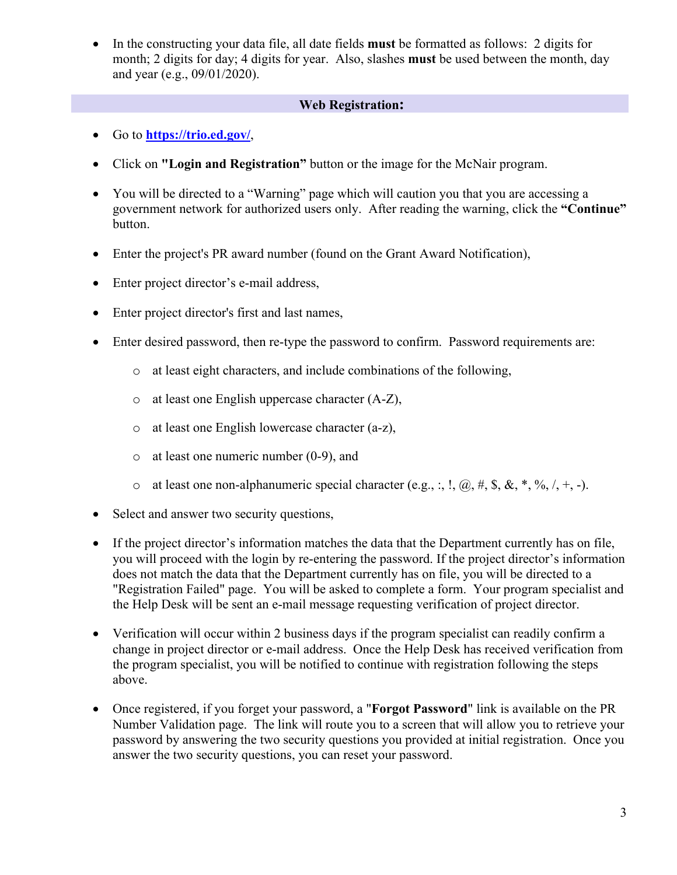• In the constructing your data file, all date fields **must** be formatted as follows: 2 digits for month; 2 digits for day; 4 digits for year. Also, slashes **must** be used between the month, day and year (e.g., 09/01/2020).

## **Web Registration:**

- Go to **<https://trio.ed.gov/>**,
- Click on **"Login and Registration"** button or the image for the McNair program.
- You will be directed to a "Warning" page which will caution you that you are accessing a government network for authorized users only. After reading the warning, click the **"Continue"** button.
- Enter the project's PR award number (found on the Grant Award Notification),
- Enter project director's e-mail address,
- Enter project director's first and last names,
- Enter desired password, then re-type the password to confirm. Password requirements are:
	- o at least eight characters, and include combinations of the following,
	- o at least one English uppercase character (A-Z),
	- o at least one English lowercase character (a-z),
	- o at least one numeric number (0-9), and
	- $\circ$  at least one non-alphanumeric special character (e.g., :, !,  $(\hat{\omega}, \#, \hat{\mathbf{S}}, \hat{\mathbf{X}}, *, \hat{\mathbf{W}}, \langle, +, -).$
- Select and answer two security questions,
- If the project director's information matches the data that the Department currently has on file, you will proceed with the login by re-entering the password. If the project director's information does not match the data that the Department currently has on file, you will be directed to a "Registration Failed" page. You will be asked to complete a form. Your program specialist and the Help Desk will be sent an e-mail message requesting verification of project director.
- Verification will occur within 2 business days if the program specialist can readily confirm a change in project director or e-mail address. Once the Help Desk has received verification from the program specialist, you will be notified to continue with registration following the steps above.
- Once registered, if you forget your password, a "**Forgot Password**" link is available on the PR Number Validation page. The link will route you to a screen that will allow you to retrieve your password by answering the two security questions you provided at initial registration. Once you answer the two security questions, you can reset your password.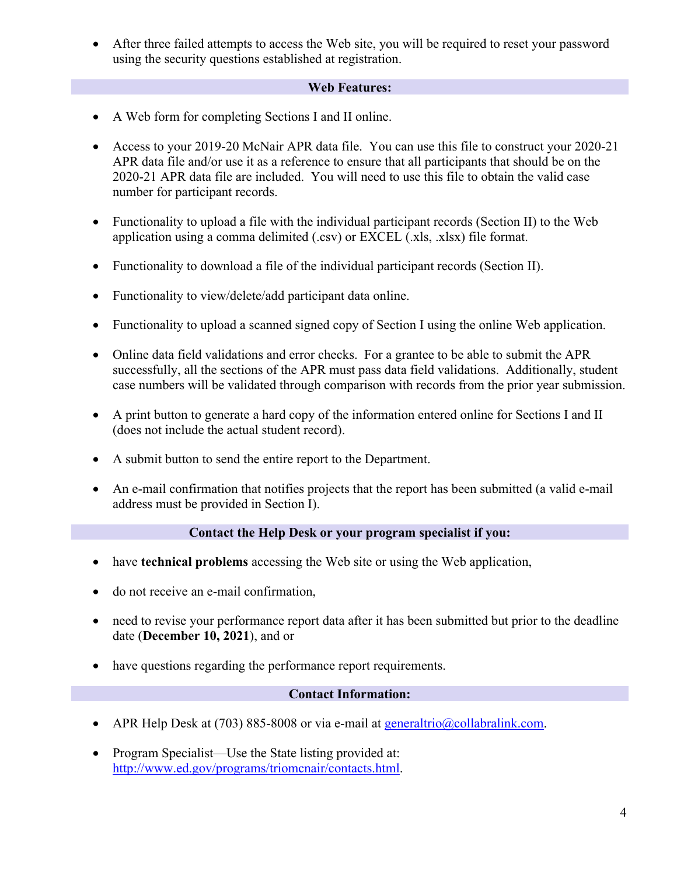• After three failed attempts to access the Web site, you will be required to reset your password using the security questions established at registration.

#### **Web Features:**

- A Web form for completing Sections I and II online.
- Access to your 2019-20 McNair APR data file. You can use this file to construct your 2020-21 APR data file and/or use it as a reference to ensure that all participants that should be on the 2020-21 APR data file are included. You will need to use this file to obtain the valid case number for participant records.
- Functionality to upload a file with the individual participant records (Section II) to the Web application using a comma delimited (.csv) or EXCEL (.xls, .xlsx) file format.
- Functionality to download a file of the individual participant records (Section II).
- Functionality to view/delete/add participant data online.
- Functionality to upload a scanned signed copy of Section I using the online Web application.
- Online data field validations and error checks. For a grantee to be able to submit the APR successfully, all the sections of the APR must pass data field validations. Additionally, student case numbers will be validated through comparison with records from the prior year submission.
- A print button to generate a hard copy of the information entered online for Sections I and II (does not include the actual student record).
- A submit button to send the entire report to the Department.
- An e-mail confirmation that notifies projects that the report has been submitted (a valid e-mail address must be provided in Section I).

#### **Contact the Help Desk or your program specialist if you:**

- have **technical problems** accessing the Web site or using the Web application,
- do not receive an e-mail confirmation,
- need to revise your performance report data after it has been submitted but prior to the deadline date (**December 10, 2021**), and or
- have questions regarding the performance report requirements.

#### **Contact Information:**

- APR Help Desk at (703) 885-8008 or via e-mail at [generaltrio@collabralink.com.](mailto:generaltrio@collabralink.com)
- Program Specialist—Use the State listing provided at: [http://www.ed.gov/programs/triomcnair/contacts.html.](http://www.ed.gov/programs/triomcnair/contacts.html)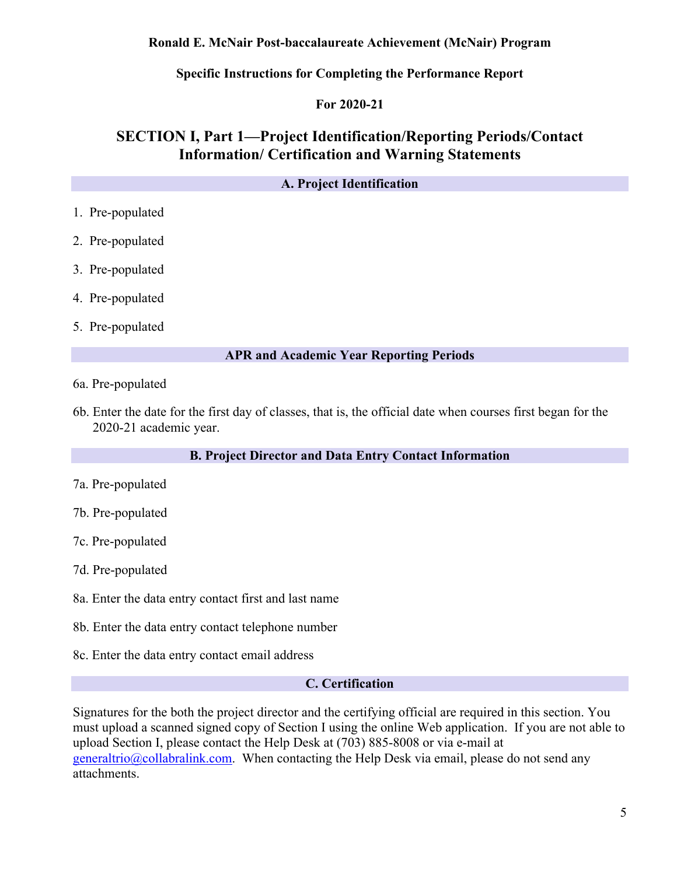#### **Ronald E. McNair Post-baccalaureate Achievement (McNair) Program**

**Specific Instructions for Completing the Performance Report**

#### **For 2020-21**

# **SECTION I, Part 1—Project Identification/Reporting Periods/Contact Information/ Certification and Warning Statements**

#### **A. Project Identification**

- 1. Pre-populated
- 2. Pre-populated
- 3. Pre-populated
- 4. Pre-populated
- 5. Pre-populated

#### **APR and Academic Year Reporting Periods**

- 6a. Pre-populated
- 6b. Enter the date for the first day of classes, that is, the official date when courses first began for the 2020-21 academic year.

#### **B. Project Director and Data Entry Contact Information**

- 7a. Pre-populated
- 7b. Pre-populated
- 7c. Pre-populated
- 7d. Pre-populated
- 8a. Enter the data entry contact first and last name
- 8b. Enter the data entry contact telephone number
- 8c. Enter the data entry contact email address

#### **C. Certification**

Signatures for the both the project director and the certifying official are required in this section. You must upload a scanned signed copy of Section I using the online Web application. If you are not able to upload Section I, please contact the Help Desk at (703) 885-8008 or via e-mail at [generaltrio@collabralink.com.](mailto:generaltrio@collabralink.com) When contacting the Help Desk via email, please do not send any attachments.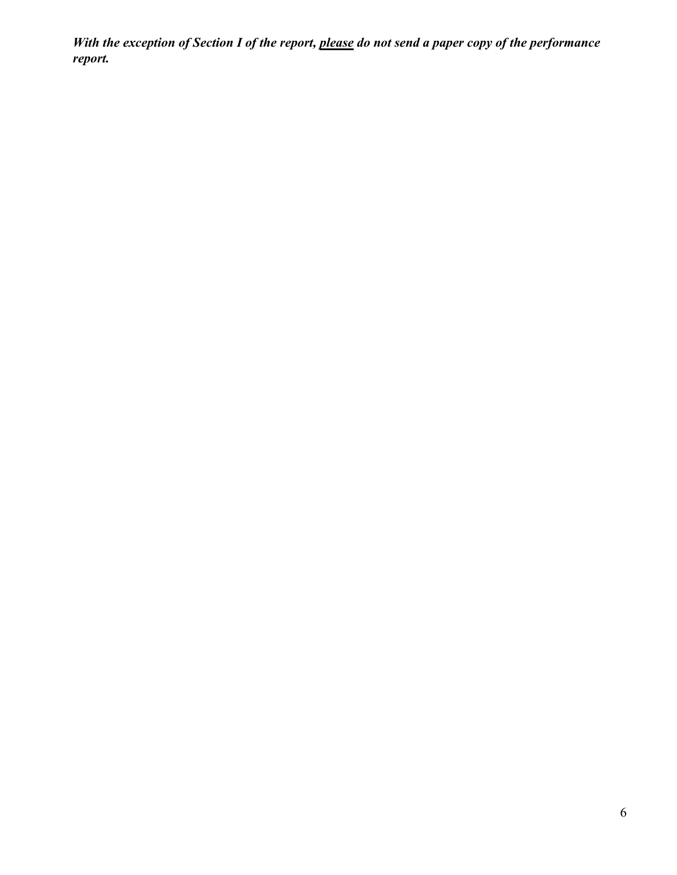*With the exception of Section I of the report, please do not send a paper copy of the performance report.*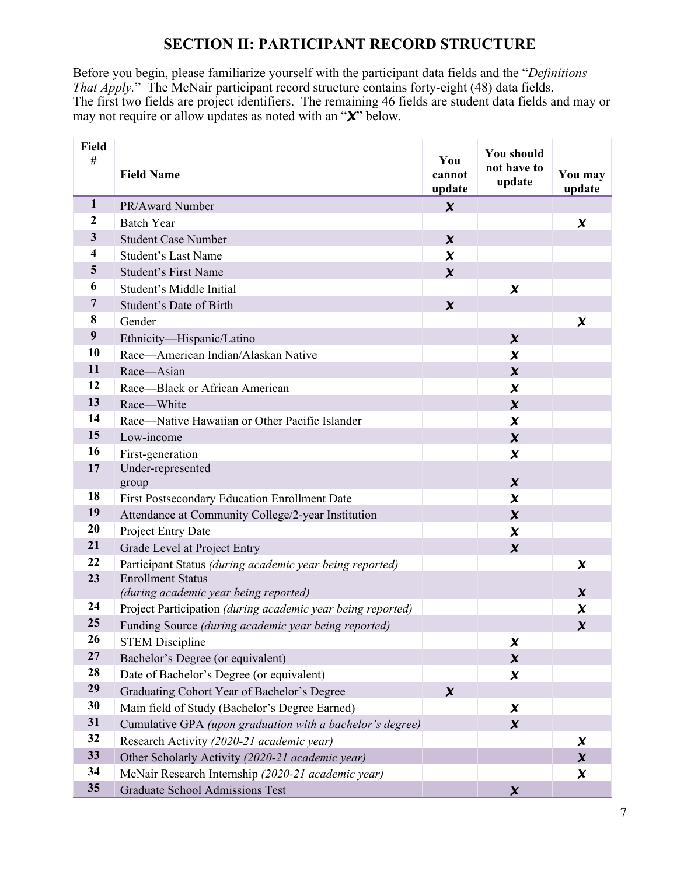# **SECTION II: PARTICIPANT RECORD STRUCTURE**

Before you begin, please familiarize yourself with the participant data fields and the "*Definitions That Apply.*" The McNair participant record structure contains forty-eight (48) data fields. The first two fields are project identifiers. The remaining 46 fields are student data fields and may or may not require or allow updates as noted with an "*X*" below.

| Field<br>#              | <b>Field Name</b>                                           | You<br>cannot<br>update | You should<br>not have to<br>update | You may<br>update   |
|-------------------------|-------------------------------------------------------------|-------------------------|-------------------------------------|---------------------|
| $\mathbf{1}$            | PR/Award Number                                             | $\boldsymbol{\chi}$     |                                     |                     |
| 2                       | <b>Batch Year</b>                                           |                         |                                     | $\boldsymbol{\chi}$ |
| $\mathbf{3}$            | <b>Student Case Number</b>                                  | $\boldsymbol{\chi}$     |                                     |                     |
| 4                       | <b>Student's Last Name</b>                                  | $\boldsymbol{\chi}$     |                                     |                     |
| $\overline{\mathbf{5}}$ | <b>Student's First Name</b>                                 | $\boldsymbol{\chi}$     |                                     |                     |
| 6                       | Student's Middle Initial                                    |                         | $\boldsymbol{\chi}$                 |                     |
| $\overline{7}$          | Student's Date of Birth                                     | $\boldsymbol{\chi}$     |                                     |                     |
| 8                       | Gender                                                      |                         |                                     | $\boldsymbol{\chi}$ |
| 9                       | Ethnicity-Hispanic/Latino                                   |                         | $\boldsymbol{\chi}$                 |                     |
| 10                      | Race-American Indian/Alaskan Native                         |                         | $\boldsymbol{\chi}$                 |                     |
| 11                      | Race-Asian                                                  |                         | $\boldsymbol{\chi}$                 |                     |
| 12                      | Race-Black or African American                              |                         | $\boldsymbol{\chi}$                 |                     |
| 13                      | Race-White                                                  |                         | $\boldsymbol{\chi}$                 |                     |
| 14                      | Race—Native Hawaiian or Other Pacific Islander              |                         | $\boldsymbol{\chi}$                 |                     |
| 15                      | Low-income                                                  |                         | $\boldsymbol{\chi}$                 |                     |
| 16                      | First-generation                                            |                         | $\boldsymbol{\chi}$                 |                     |
| 17                      | Under-represented                                           |                         |                                     |                     |
|                         | group                                                       |                         | $\boldsymbol{\chi}$                 |                     |
| 18                      | First Postsecondary Education Enrollment Date               |                         | $\boldsymbol{\chi}$                 |                     |
| 19                      | Attendance at Community College/2-year Institution          |                         | $\boldsymbol{\chi}$                 |                     |
| 20                      | Project Entry Date                                          |                         | $\boldsymbol{\chi}$                 |                     |
| 21                      | Grade Level at Project Entry                                |                         | $\boldsymbol{\chi}$                 |                     |
| 22                      | Participant Status (during academic year being reported)    |                         |                                     | $\boldsymbol{\chi}$ |
| 23                      | <b>Enrollment Status</b>                                    |                         |                                     |                     |
| 24                      | (during academic year being reported)                       |                         |                                     | X                   |
| 25                      | Project Participation (during academic year being reported) |                         |                                     | $\boldsymbol{\chi}$ |
| 26                      | Funding Source (during academic year being reported)        |                         |                                     | $\boldsymbol{\chi}$ |
| 27                      | <b>STEM Discipline</b>                                      |                         | $\boldsymbol{\chi}$                 |                     |
| 28                      | Bachelor's Degree (or equivalent)                           |                         | $\boldsymbol{\chi}$                 |                     |
| 29                      | Date of Bachelor's Degree (or equivalent)                   |                         | $\boldsymbol{\chi}$                 |                     |
| 30                      | Graduating Cohort Year of Bachelor's Degree                 | $\boldsymbol{\chi}$     |                                     |                     |
|                         | Main field of Study (Bachelor's Degree Earned)              |                         | $\boldsymbol{\chi}$                 |                     |
| 31                      | Cumulative GPA (upon graduation with a bachelor's degree)   |                         | $\boldsymbol{\chi}$                 |                     |
| 32                      | Research Activity (2020-21 academic year)                   |                         |                                     | $\boldsymbol{\chi}$ |
| 33                      | Other Scholarly Activity (2020-21 academic year)            |                         |                                     | $\boldsymbol{\chi}$ |
| 34                      | McNair Research Internship (2020-21 academic year)          |                         |                                     | $\boldsymbol{\chi}$ |
| 35                      | Graduate School Admissions Test                             |                         | $\boldsymbol{\chi}$                 |                     |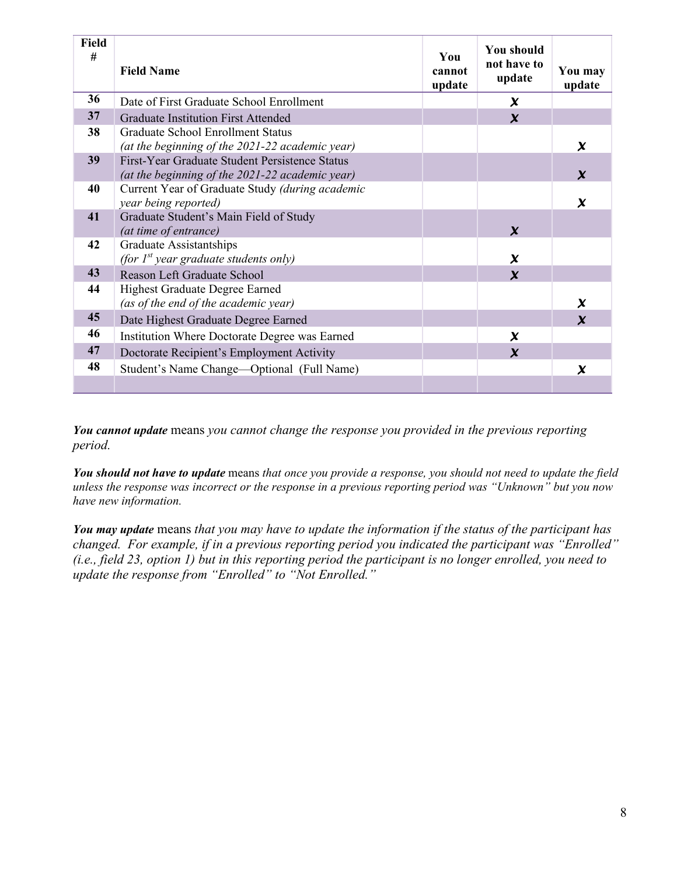| <b>Field</b><br># | <b>Field Name</b>                                                                                 | You<br>cannot<br>update | <b>You should</b><br>not have to<br>update | You may<br>update         |
|-------------------|---------------------------------------------------------------------------------------------------|-------------------------|--------------------------------------------|---------------------------|
| 36                | Date of First Graduate School Enrollment                                                          |                         | $\boldsymbol{\chi}$                        |                           |
| 37                | <b>Graduate Institution First Attended</b>                                                        |                         | $\boldsymbol{\chi}$                        |                           |
| 38                | Graduate School Enrollment Status<br>(at the beginning of the 2021-22 academic year)              |                         |                                            | $\boldsymbol{\chi}$       |
| 39                | First-Year Graduate Student Persistence Status<br>(at the beginning of the 2021-22 academic year) |                         |                                            | $\mathbf x$               |
| 40                | Current Year of Graduate Study (during academic<br>year being reported)                           |                         |                                            | $\boldsymbol{\chi}$       |
| 41                | Graduate Student's Main Field of Study<br>(at time of entrance)                                   |                         | $\mathbf x$                                |                           |
| 42                | Graduate Assistantships<br>(for $I^{st}$ year graduate students only)                             |                         | $\boldsymbol{\chi}$                        |                           |
| 43                | Reason Left Graduate School                                                                       |                         | $\mathbf x$                                |                           |
| 44                | Highest Graduate Degree Earned<br>(as of the end of the academic year)                            |                         |                                            | $\boldsymbol{\chi}$       |
| 45                | Date Highest Graduate Degree Earned                                                               |                         |                                            | $\mathbf{Y}$              |
| 46                | Institution Where Doctorate Degree was Earned                                                     |                         | $\boldsymbol{\chi}$                        |                           |
| 47                | Doctorate Recipient's Employment Activity                                                         |                         | $\boldsymbol{\chi}$                        |                           |
| 48                | Student's Name Change-Optional (Full Name)                                                        |                         |                                            | $\boldsymbol{\mathsf{x}}$ |

*You cannot update* means *you cannot change the response you provided in the previous reporting period.* 

*You should not have to update* means *that once you provide a response, you should not need to update the field unless the response was incorrect or the response in a previous reporting period was "Unknown" but you now have new information.*

*You may update* means *that you may have to update the information if the status of the participant has changed. For example, if in a previous reporting period you indicated the participant was "Enrolled" (i.e., field 23, option 1) but in this reporting period the participant is no longer enrolled, you need to update the response from "Enrolled" to "Not Enrolled."*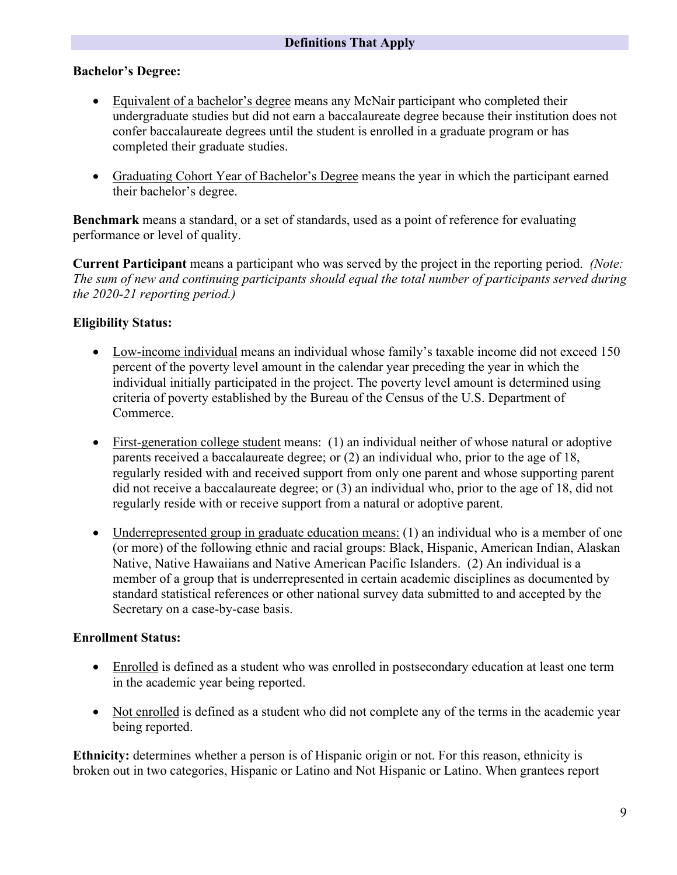### **Bachelor's Degree:**

- Equivalent of a bachelor's degree means any McNair participant who completed their undergraduate studies but did not earn a baccalaureate degree because their institution does not confer baccalaureate degrees until the student is enrolled in a graduate program or has completed their graduate studies.
- Graduating Cohort Year of Bachelor's Degree means the year in which the participant earned their bachelor's degree.

**Benchmark** means a standard, or a set of standards, used as a point of reference for evaluating performance or level of quality.

**Current Participant** means a participant who was served by the project in the reporting period. *(Note: The sum of new and continuing participants should equal the total number of participants served during the 2020-21 reporting period.)*

## **Eligibility Status:**

- Low-income individual means an individual whose family's taxable income did not exceed 150 percent of the poverty level amount in the calendar year preceding the year in which the individual initially participated in the project. The poverty level amount is determined using criteria of poverty established by the Bureau of the Census of the U.S. Department of Commerce.
- First-generation college student means: (1) an individual neither of whose natural or adoptive parents received a baccalaureate degree; or (2) an individual who, prior to the age of 18, regularly resided with and received support from only one parent and whose supporting parent did not receive a baccalaureate degree; or (3) an individual who, prior to the age of 18, did not regularly reside with or receive support from a natural or adoptive parent.
- Underrepresented group in graduate education means: (1) an individual who is a member of one (or more) of the following ethnic and racial groups: Black, Hispanic, American Indian, Alaskan Native, Native Hawaiians and Native American Pacific Islanders. (2) An individual is a member of a group that is underrepresented in certain academic disciplines as documented by standard statistical references or other national survey data submitted to and accepted by the Secretary on a case-by-case basis.

## **Enrollment Status:**

- Enrolled is defined as a student who was enrolled in postsecondary education at least one term in the academic year being reported.
- Not enrolled is defined as a student who did not complete any of the terms in the academic year being reported.

**Ethnicity:** determines whether a person is of Hispanic origin or not. For this reason, ethnicity is broken out in two categories, Hispanic or Latino and Not Hispanic or Latino. When grantees report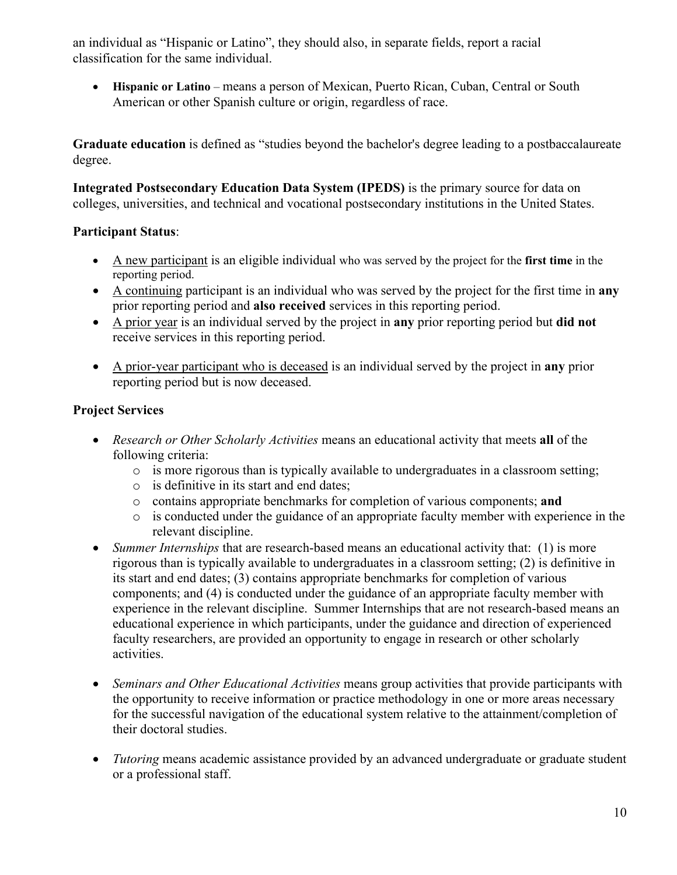an individual as "Hispanic or Latino", they should also, in separate fields, report a racial classification for the same individual.

• **Hispanic or Latino** – means a person of Mexican, Puerto Rican, Cuban, Central or South American or other Spanish culture or origin, regardless of race.

**Graduate education** is defined as "studies beyond the bachelor's degree leading to a postbaccalaureate degree.

**Integrated Postsecondary Education Data System (IPEDS)** is the primary source for data on colleges, universities, and technical and vocational postsecondary institutions in the United States.

## **Participant Status**:

- A new participant is an eligible individual who was served by the project for the **first time** in the reporting period.
- A continuing participant is an individual who was served by the project for the first time in **any** prior reporting period and **also received** services in this reporting period.
- A prior year is an individual served by the project in **any** prior reporting period but **did not** receive services in this reporting period.
- A prior-year participant who is deceased is an individual served by the project in **any** prior reporting period but is now deceased.

# **Project Services**

- *Research or Other Scholarly Activities* means an educational activity that meets **all** of the following criteria:
	- o is more rigorous than is typically available to undergraduates in a classroom setting;
	- o is definitive in its start and end dates;
	- o contains appropriate benchmarks for completion of various components; **and**
	- o is conducted under the guidance of an appropriate faculty member with experience in the relevant discipline.
- *Summer Internships* that are research-based means an educational activity that: (1) is more rigorous than is typically available to undergraduates in a classroom setting; (2) is definitive in its start and end dates; (3) contains appropriate benchmarks for completion of various components; and (4) is conducted under the guidance of an appropriate faculty member with experience in the relevant discipline. Summer Internships that are not research-based means an educational experience in which participants, under the guidance and direction of experienced faculty researchers, are provided an opportunity to engage in research or other scholarly activities.
- *Seminars and Other Educational Activities* means group activities that provide participants with the opportunity to receive information or practice methodology in one or more areas necessary for the successful navigation of the educational system relative to the attainment/completion of their doctoral studies.
- *Tutoring* means academic assistance provided by an advanced undergraduate or graduate student or a professional staff.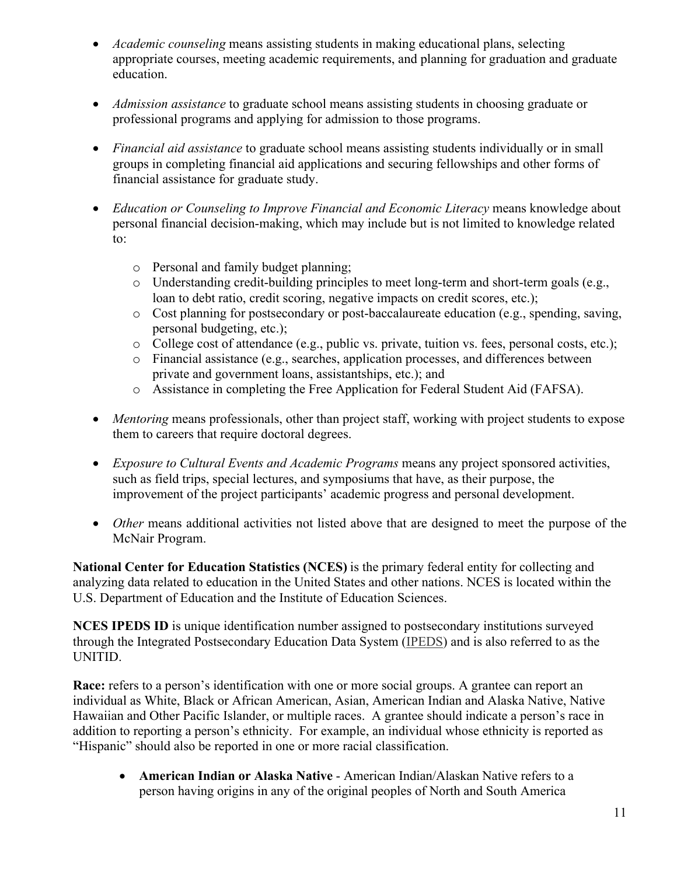- *Academic counseling* means assisting students in making educational plans, selecting appropriate courses, meeting academic requirements, and planning for graduation and graduate education.
- *Admission assistance* to graduate school means assisting students in choosing graduate or professional programs and applying for admission to those programs.
- *Financial aid assistance* to graduate school means assisting students individually or in small groups in completing financial aid applications and securing fellowships and other forms of financial assistance for graduate study.
- *Education or Counseling to Improve Financial and Economic Literacy* means knowledge about personal financial decision-making, which may include but is not limited to knowledge related to:
	- o Personal and family budget planning;
	- o Understanding credit-building principles to meet long-term and short-term goals (e.g., loan to debt ratio, credit scoring, negative impacts on credit scores, etc.);
	- o Cost planning for postsecondary or post-baccalaureate education (e.g., spending, saving, personal budgeting, etc.);
	- o College cost of attendance (e.g., public vs. private, tuition vs. fees, personal costs, etc.);
	- o Financial assistance (e.g., searches, application processes, and differences between private and government loans, assistantships, etc.); and
	- o Assistance in completing the Free Application for Federal Student Aid (FAFSA).
- *Mentoring* means professionals, other than project staff, working with project students to expose them to careers that require doctoral degrees.
- *Exposure to Cultural Events and Academic Programs* means any project sponsored activities, such as field trips, special lectures, and symposiums that have, as their purpose, the improvement of the project participants' academic progress and personal development.
- *Other* means additional activities not listed above that are designed to meet the purpose of the McNair Program.

**National Center for Education Statistics (NCES)** is the primary federal entity for collecting and analyzing data related to education in the United States and other nations. NCES is located within the U.S. Department of Education and the Institute of Education Sciences.

**NCES IPEDS ID** is unique identification number assigned to postsecondary institutions surveyed through the Integrated Postsecondary Education Data System [\(IPEDS\)](http://nces.ed.gov/ipeds/glossary/index.asp?id=349) and is also referred to as the UNITID.

**Race:** refers to a person's identification with one or more social groups. A grantee can report an individual as White, Black or African American, Asian, American Indian and Alaska Native, Native Hawaiian and Other Pacific Islander, or multiple races. A grantee should indicate a person's race in addition to reporting a person's ethnicity. For example, an individual whose ethnicity is reported as "Hispanic" should also be reported in one or more racial classification.

• **American Indian or Alaska Native** - American Indian/Alaskan Native refers to a person having origins in any of the original peoples of North and South America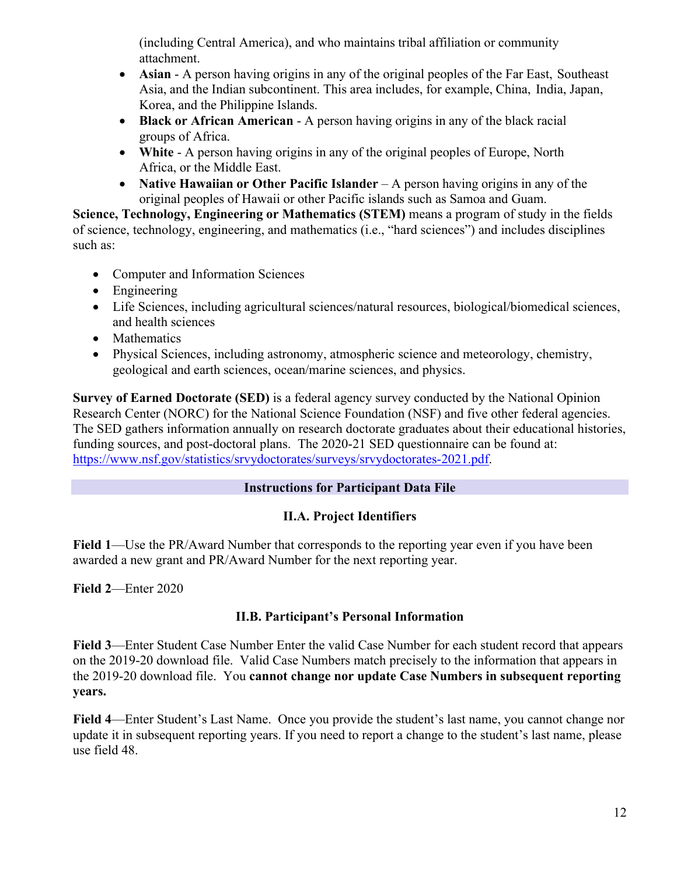(including Central America), and who maintains tribal affiliation or community attachment.

- **Asian** A person having origins in any of the original peoples of the Far East, Southeast Asia, and the Indian subcontinent. This area includes, for example, China, India, Japan, Korea, and the Philippine Islands.
- **Black or African American** A person having origins in any of the black racial groups of Africa.
- White A person having origins in any of the original peoples of Europe, North Africa, or the Middle East.
- **Native Hawaiian or Other Pacific Islander** A person having origins in any of the original peoples of Hawaii or other Pacific islands such as Samoa and Guam.

**Science, Technology, Engineering or Mathematics (STEM)** means a program of study in the fields of science, technology, engineering, and mathematics (i.e., "hard sciences") and includes disciplines such as:

- Computer and Information Sciences
- Engineering
- Life Sciences, including agricultural sciences/natural resources, biological/biomedical sciences, and health sciences
- Mathematics
- Physical Sciences, including astronomy, atmospheric science and meteorology, chemistry, geological and earth sciences, ocean/marine sciences, and physics.

**Survey of Earned Doctorate (SED)** is a federal agency survey conducted by the National Opinion Research Center (NORC) for the National Science Foundation (NSF) and five other federal agencies. The SED gathers information annually on research doctorate graduates about their educational histories, funding sources, and post-doctoral plans. The 2020-21 SED questionnaire can be found at: [https://www.nsf.gov/statistics/srvydoctorates/surveys/srvydoctorates-2021.pdf.](https://www.nsf.gov/statistics/srvydoctorates/surveys/srvydoctorates-2021.pdf)

## **Instructions for Participant Data File**

# **II.A. Project Identifiers**

**Field 1**—Use the PR/Award Number that corresponds to the reporting year even if you have been awarded a new grant and PR/Award Number for the next reporting year.

**Field 2**—Enter 2020

# **II.B. Participant's Personal Information**

**Field 3**—Enter Student Case Number Enter the valid Case Number for each student record that appears on the 2019-20 download file. Valid Case Numbers match precisely to the information that appears in the 2019-20 download file. You **cannot change nor update Case Numbers in subsequent reporting years.**

**Field 4**—Enter Student's Last Name. Once you provide the student's last name, you cannot change nor update it in subsequent reporting years. If you need to report a change to the student's last name, please use field 48.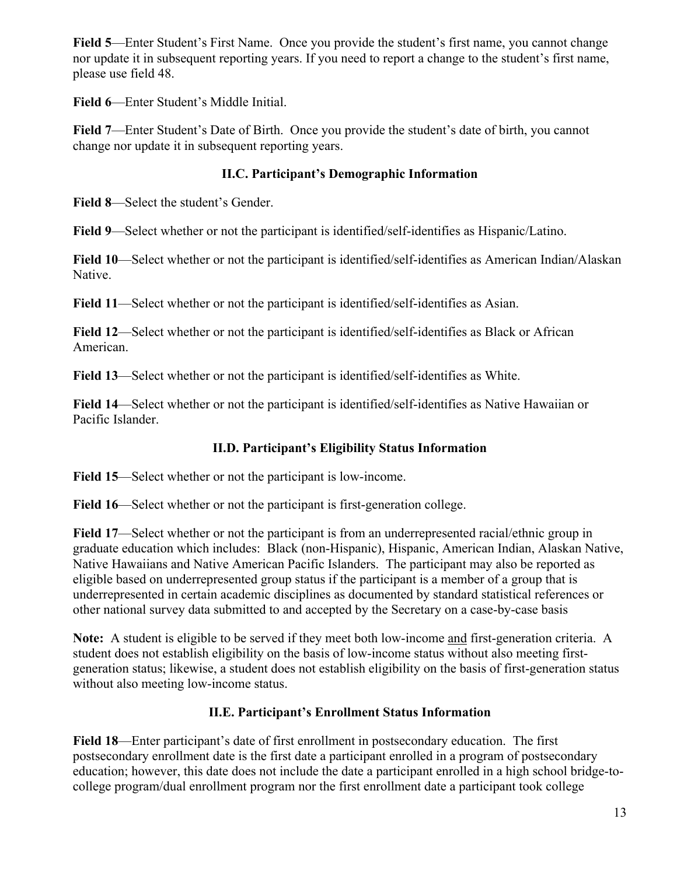**Field 5**—Enter Student's First Name.Once you provide the student's first name, you cannot change nor update it in subsequent reporting years. If you need to report a change to the student's first name, please use field 48.

**Field 6**—Enter Student's Middle Initial.

**Field 7**—Enter Student's Date of Birth. Once you provide the student's date of birth, you cannot change nor update it in subsequent reporting years.

# **II.C. Participant's Demographic Information**

**Field 8**—Select the student's Gender.

**Field 9**—Select whether or not the participant is identified/self-identifies as Hispanic/Latino.

**Field 10**—Select whether or not the participant is identified/self-identifies as American Indian/Alaskan Native.

**Field 11**—Select whether or not the participant is identified/self-identifies as Asian.

**Field 12**—Select whether or not the participant is identified/self-identifies as Black or African American.

**Field 13**—Select whether or not the participant is identified/self-identifies as White.

**Field 14**—Select whether or not the participant is identified/self-identifies as Native Hawaiian or Pacific Islander.

# **II.D. Participant's Eligibility Status Information**

**Field 15**—Select whether or not the participant is low-income.

**Field 16**—Select whether or not the participant is first-generation college.

**Field 17**—Select whether or not the participant is from an underrepresented racial/ethnic group in graduate education which includes: Black (non-Hispanic), Hispanic, American Indian, Alaskan Native, Native Hawaiians and Native American Pacific Islanders. The participant may also be reported as eligible based on underrepresented group status if the participant is a member of a group that is underrepresented in certain academic disciplines as documented by standard statistical references or other national survey data submitted to and accepted by the Secretary on a case-by-case basis

**Note:** A student is eligible to be served if they meet both low-income and first-generation criteria. A student does not establish eligibility on the basis of low-income status without also meeting firstgeneration status; likewise, a student does not establish eligibility on the basis of first-generation status without also meeting low-income status.

# **II.E. Participant's Enrollment Status Information**

**Field 18**—Enter participant's date of first enrollment in postsecondary education. The first postsecondary enrollment date is the first date a participant enrolled in a program of postsecondary education; however, this date does not include the date a participant enrolled in a high school bridge-tocollege program/dual enrollment program nor the first enrollment date a participant took college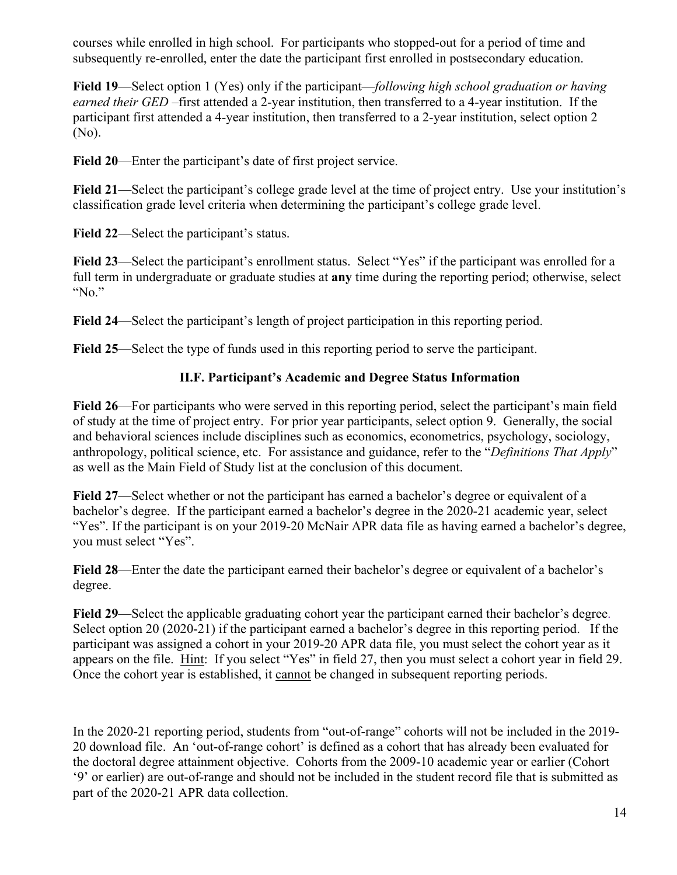courses while enrolled in high school. For participants who stopped-out for a period of time and subsequently re-enrolled, enter the date the participant first enrolled in postsecondary education.

**Field 19**—Select option 1 (Yes) only if the participant—*following high school graduation or having earned their GED* –first attended a 2-year institution, then transferred to a 4-year institution. If the participant first attended a 4-year institution, then transferred to a 2-year institution, select option 2 (No).

**Field 20**—Enter the participant's date of first project service.

**Field 21**—Select the participant's college grade level at the time of project entry. Use your institution's classification grade level criteria when determining the participant's college grade level.

**Field 22**—Select the participant's status.

**Field 23**—Select the participant's enrollment status. Select "Yes" if the participant was enrolled for a full term in undergraduate or graduate studies at **any** time during the reporting period; otherwise, select "No."

**Field 24**—Select the participant's length of project participation in this reporting period.

**Field 25**—Select the type of funds used in this reporting period to serve the participant.

# **II.F. Participant's Academic and Degree Status Information**

**Field 26**—For participants who were served in this reporting period, select the participant's main field of study at the time of project entry. For prior year participants, select option 9. Generally, the social and behavioral sciences include disciplines such as economics, econometrics, psychology, sociology, anthropology, political science, etc. For assistance and guidance, refer to the "*Definitions That Apply*" as well as the Main Field of Study list at the conclusion of this document.

**Field 27**—Select whether or not the participant has earned a bachelor's degree or equivalent of a bachelor's degree. If the participant earned a bachelor's degree in the 2020-21 academic year, select "Yes". If the participant is on your 2019-20 McNair APR data file as having earned a bachelor's degree, you must select "Yes".

**Field 28**—Enter the date the participant earned their bachelor's degree or equivalent of a bachelor's degree.

**Field 29**—Select the applicable graduating cohort year the participant earned their bachelor's degree. Select option 20 (2020-21) if the participant earned a bachelor's degree in this reporting period. If the participant was assigned a cohort in your 2019-20 APR data file, you must select the cohort year as it appears on the file. Hint: If you select "Yes" in field 27, then you must select a cohort year in field 29. Once the cohort year is established, it cannot be changed in subsequent reporting periods.

In the 2020-21 reporting period, students from "out-of-range" cohorts will not be included in the 2019- 20 download file. An 'out-of-range cohort' is defined as a cohort that has already been evaluated for the doctoral degree attainment objective. Cohorts from the 2009-10 academic year or earlier (Cohort '9' or earlier) are out-of-range and should not be included in the student record file that is submitted as part of the 2020-21 APR data collection.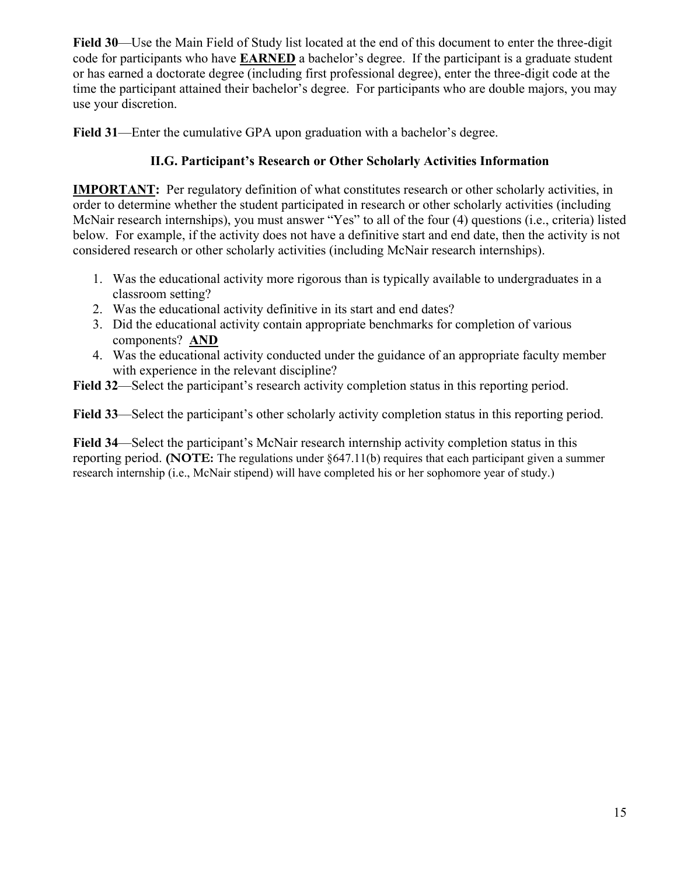**Field 30**—Use the Main Field of Study list located at the end of this document to enter the three-digit code for participants who have **EARNED** a bachelor's degree. If the participant is a graduate student or has earned a doctorate degree (including first professional degree), enter the three-digit code at the time the participant attained their bachelor's degree. For participants who are double majors, you may use your discretion.

**Field 31**—Enter the cumulative GPA upon graduation with a bachelor's degree.

## **II.G. Participant's Research or Other Scholarly Activities Information**

**IMPORTANT:** Per regulatory definition of what constitutes research or other scholarly activities, in order to determine whether the student participated in research or other scholarly activities (including McNair research internships), you must answer "Yes" to all of the four (4) questions (i.e., criteria) listed below. For example, if the activity does not have a definitive start and end date, then the activity is not considered research or other scholarly activities (including McNair research internships).

- 1. Was the educational activity more rigorous than is typically available to undergraduates in a classroom setting?
- 2. Was the educational activity definitive in its start and end dates?
- 3. Did the educational activity contain appropriate benchmarks for completion of various components? **AND**
- 4. Was the educational activity conducted under the guidance of an appropriate faculty member with experience in the relevant discipline?
- **Field 32**—Select the participant's research activity completion status in this reporting period.

**Field 33**—Select the participant's other scholarly activity completion status in this reporting period.

**Field 34**—Select the participant's McNair research internship activity completion status in this reporting period. **(NOTE:** The regulations under §647.11(b) requires that each participant given a summer research internship (i.e., McNair stipend) will have completed his or her sophomore year of study.)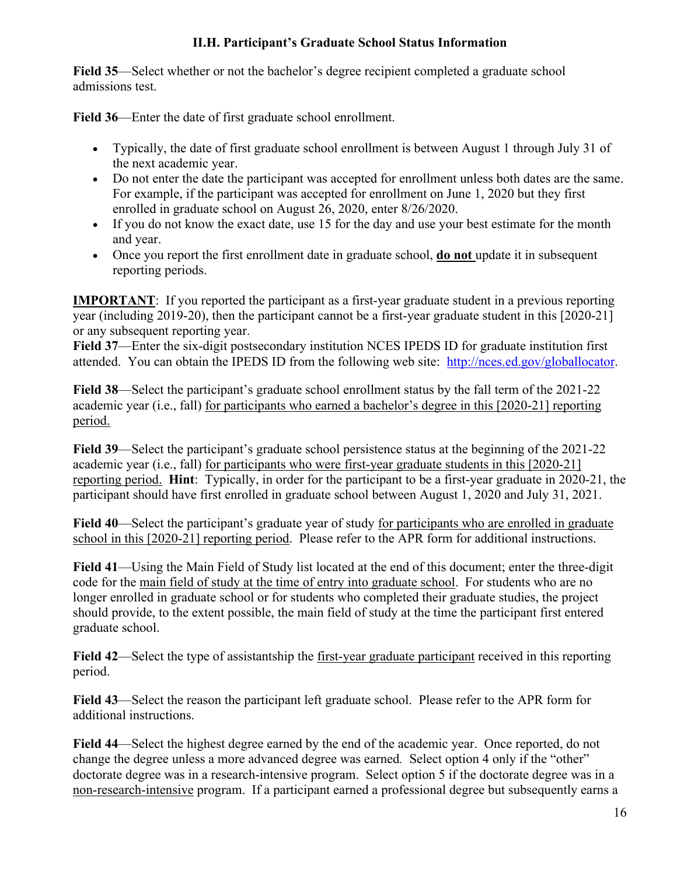## **II.H. Participant's Graduate School Status Information**

**Field 35**—Select whether or not the bachelor's degree recipient completed a graduate school admissions test.

**Field 36**—Enter the date of first graduate school enrollment.

- Typically, the date of first graduate school enrollment is between August 1 through July 31 of the next academic year.
- Do not enter the date the participant was accepted for enrollment unless both dates are the same. For example, if the participant was accepted for enrollment on June 1, 2020 but they first enrolled in graduate school on August 26, 2020, enter 8/26/2020.
- If you do not know the exact date, use 15 for the day and use your best estimate for the month and year.
- Once you report the first enrollment date in graduate school, **do not** update it in subsequent reporting periods.

**IMPORTANT:** If you reported the participant as a first-year graduate student in a previous reporting year (including 2019-20), then the participant cannot be a first-year graduate student in this [2020-21] or any subsequent reporting year.

**Field 37**—Enter the six-digit postsecondary institution NCES IPEDS ID for graduate institution first attended. You can obtain the IPEDS ID from the following web site: [http://nces.ed.gov/globallocator.](http://nces.ed.gov/globallocator)

**Field 38**—Select the participant's graduate school enrollment status by the fall term of the 2021-22 academic year (i.e., fall) for participants who earned a bachelor's degree in this [2020-21] reporting period.

**Field 39**—Select the participant's graduate school persistence status at the beginning of the 2021-22 academic year (i.e., fall) for participants who were first-year graduate students in this [2020-21] reporting period. **Hint**: Typically, in order for the participant to be a first-year graduate in 2020-21, the participant should have first enrolled in graduate school between August 1, 2020 and July 31, 2021.

**Field 40**—Select the participant's graduate year of study for participants who are enrolled in graduate school in this [2020-21] reporting period. Please refer to the APR form for additional instructions.

**Field 41**—Using the Main Field of Study list located at the end of this document; enter the three-digit code for the main field of study at the time of entry into graduate school. For students who are no longer enrolled in graduate school or for students who completed their graduate studies, the project should provide, to the extent possible, the main field of study at the time the participant first entered graduate school.

**Field 42**—Select the type of assistantship the first-year graduate participant received in this reporting period.

**Field 43**—Select the reason the participant left graduate school. Please refer to the APR form for additional instructions.

**Field 44**—Select the highest degree earned by the end of the academic year. Once reported, do not change the degree unless a more advanced degree was earned*.* Select option 4 only if the "other" doctorate degree was in a research-intensive program. Select option 5 if the doctorate degree was in a non-research-intensive program. If a participant earned a professional degree but subsequently earns a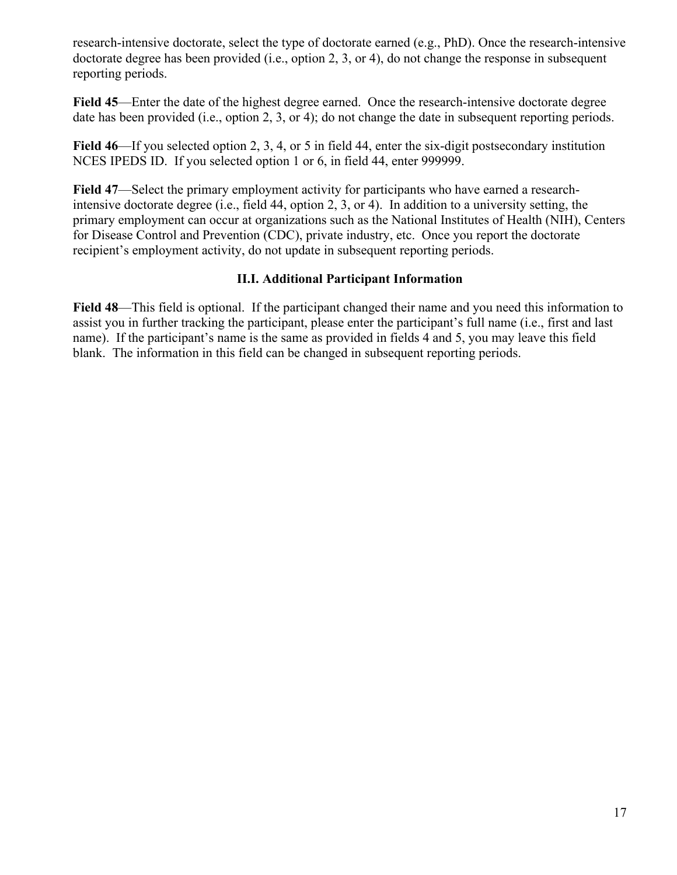research-intensive doctorate, select the type of doctorate earned (e.g., PhD). Once the research-intensive doctorate degree has been provided (i.e., option 2, 3, or 4), do not change the response in subsequent reporting periods.

**Field 45**—Enter the date of the highest degree earned. Once the research-intensive doctorate degree date has been provided (i.e., option 2, 3, or 4); do not change the date in subsequent reporting periods.

**Field 46**—If you selected option 2, 3, 4, or 5 in field 44, enter the six-digit postsecondary institution NCES IPEDS ID. If you selected option 1 or 6, in field 44, enter 999999.

**Field 47**—Select the primary employment activity for participants who have earned a researchintensive doctorate degree (i.e., field 44, option 2, 3, or 4). In addition to a university setting, the primary employment can occur at organizations such as the National Institutes of Health (NIH), Centers for Disease Control and Prevention (CDC), private industry, etc. Once you report the doctorate recipient's employment activity, do not update in subsequent reporting periods.

## **II.I. Additional Participant Information**

**Field 48**—This field is optional. If the participant changed their name and you need this information to assist you in further tracking the participant, please enter the participant's full name (i.e., first and last name). If the participant's name is the same as provided in fields 4 and 5, you may leave this field blank. The information in this field can be changed in subsequent reporting periods.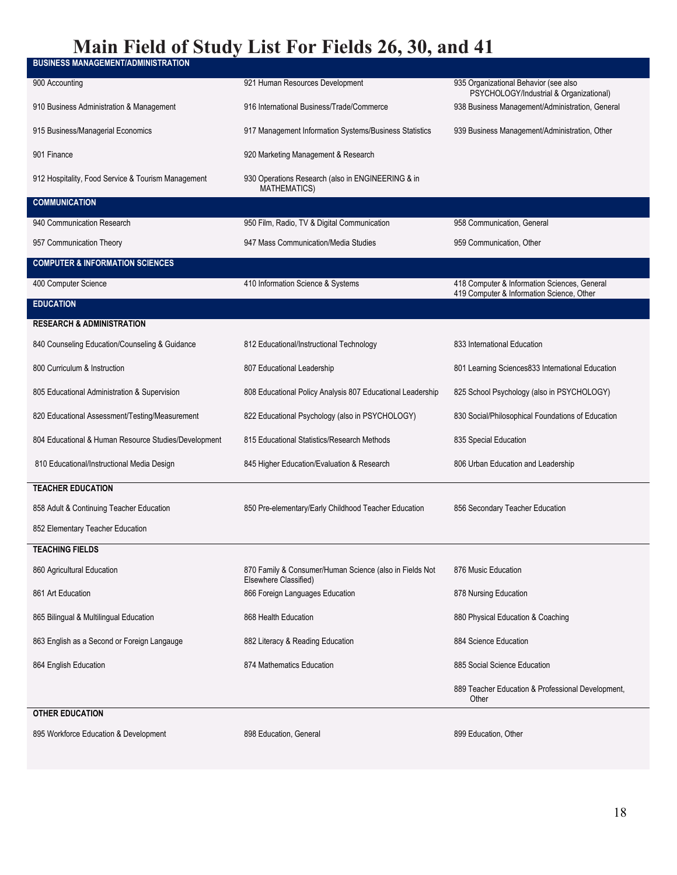# **Main Field of Study List For Fields 26, 30, and 41**

| <b>BUSINESS MANAGEMENT/ADMINISTRATION</b>            |                                                                                  |                                                                                           |
|------------------------------------------------------|----------------------------------------------------------------------------------|-------------------------------------------------------------------------------------------|
| 900 Accounting                                       | 921 Human Resources Development                                                  | 935 Organizational Behavior (see also<br>PSYCHOLOGY/Industrial & Organizational)          |
| 910 Business Administration & Management             | 916 International Business/Trade/Commerce                                        | 938 Business Management/Administration, General                                           |
| 915 Business/Managerial Economics                    | 917 Management Information Systems/Business Statistics                           | 939 Business Management/Administration, Other                                             |
| 901 Finance                                          | 920 Marketing Management & Research                                              |                                                                                           |
| 912 Hospitality, Food Service & Tourism Management   | 930 Operations Research (also in ENGINEERING & in<br><b>MATHEMATICS)</b>         |                                                                                           |
| <b>COMMUNICATION</b>                                 |                                                                                  |                                                                                           |
| 940 Communication Research                           | 950 Film, Radio, TV & Digital Communication                                      | 958 Communication, General                                                                |
| 957 Communication Theory                             | 947 Mass Communication/Media Studies                                             | 959 Communication, Other                                                                  |
| <b>COMPUTER &amp; INFORMATION SCIENCES</b>           |                                                                                  |                                                                                           |
| 400 Computer Science                                 | 410 Information Science & Systems                                                | 418 Computer & Information Sciences, General<br>419 Computer & Information Science, Other |
| <b>EDUCATION</b>                                     |                                                                                  |                                                                                           |
| <b>RESEARCH &amp; ADMINISTRATION</b>                 |                                                                                  |                                                                                           |
| 840 Counseling Education/Counseling & Guidance       | 812 Educational/Instructional Technology                                         | 833 International Education                                                               |
| 800 Curriculum & Instruction                         | 807 Educational Leadership                                                       | 801 Learning Sciences833 International Education                                          |
| 805 Educational Administration & Supervision         | 808 Educational Policy Analysis 807 Educational Leadership                       | 825 School Psychology (also in PSYCHOLOGY)                                                |
| 820 Educational Assessment/Testing/Measurement       | 822 Educational Psychology (also in PSYCHOLOGY)                                  | 830 Social/Philosophical Foundations of Education                                         |
| 804 Educational & Human Resource Studies/Development | 815 Educational Statistics/Research Methods                                      | 835 Special Education                                                                     |
| 810 Educational/Instructional Media Design           | 845 Higher Education/Evaluation & Research                                       | 806 Urban Education and Leadership                                                        |
| <b>TEACHER EDUCATION</b>                             |                                                                                  |                                                                                           |
| 858 Adult & Continuing Teacher Education             | 850 Pre-elementary/Early Childhood Teacher Education                             | 856 Secondary Teacher Education                                                           |
| 852 Elementary Teacher Education                     |                                                                                  |                                                                                           |
| <b>TEACHING FIELDS</b>                               |                                                                                  |                                                                                           |
| 860 Agricultural Education                           | 870 Family & Consumer/Human Science (also in Fields Not<br>Elsewhere Classified) | 876 Music Education                                                                       |
| 861 Art Education                                    | 866 Foreign Languages Education                                                  | 878 Nursing Education                                                                     |
| 865 Bilingual & Multilingual Education               | 868 Health Education                                                             | 880 Physical Education & Coaching                                                         |
| 863 English as a Second or Foreign Langauge          | 882 Literacy & Reading Education                                                 | 884 Science Education                                                                     |
| 864 English Education                                | 874 Mathematics Education                                                        | 885 Social Science Education                                                              |
|                                                      |                                                                                  | 889 Teacher Education & Professional Development,<br>Other                                |
| <b>OTHER EDUCATION</b>                               |                                                                                  |                                                                                           |

895 Workforce Education & Development 898 Education, General 899 Education, General 899 Education, Other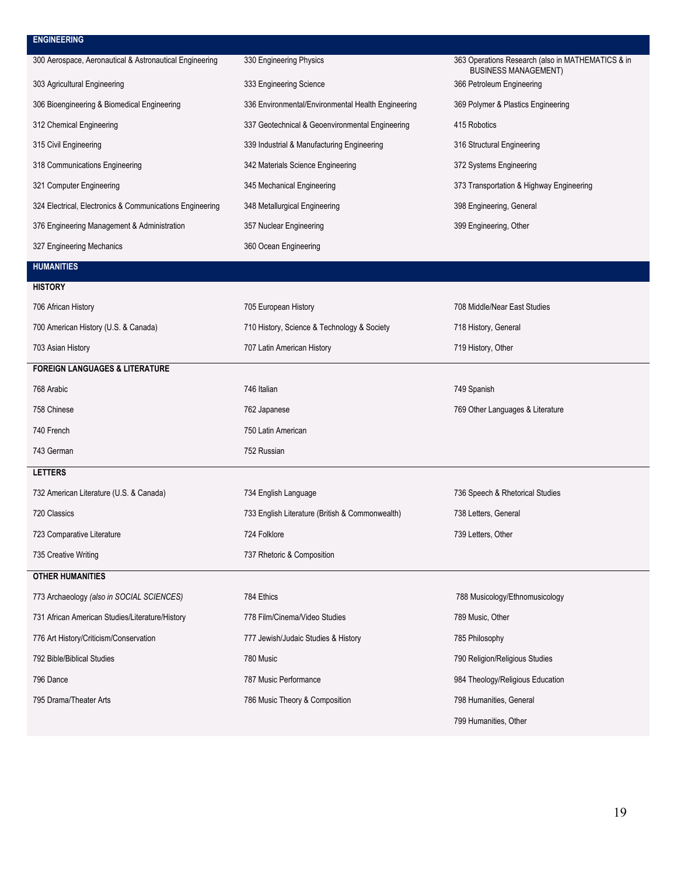#### **ENGINEERING**

| 300 Aerospace, Aeronautical & Astronautical Engineering  | 330 Engineering Physics                            | 363 Operations Research (also in MATHEMATICS & in<br><b>BUSINESS MANAGEMENT)</b> |
|----------------------------------------------------------|----------------------------------------------------|----------------------------------------------------------------------------------|
| 303 Agricultural Engineering                             | 333 Engineering Science                            | 366 Petroleum Engineering                                                        |
| 306 Bioengineering & Biomedical Engineering              | 336 Environmental/Environmental Health Engineering | 369 Polymer & Plastics Engineering                                               |
| 312 Chemical Engineering                                 | 337 Geotechnical & Geoenvironmental Engineering    | 415 Robotics                                                                     |
| 315 Civil Engineering                                    | 339 Industrial & Manufacturing Engineering         | 316 Structural Engineering                                                       |
| 318 Communications Engineering                           | 342 Materials Science Engineering                  | 372 Systems Engineering                                                          |
| 321 Computer Engineering                                 | 345 Mechanical Engineering                         | 373 Transportation & Highway Engineering                                         |
| 324 Electrical, Electronics & Communications Engineering | 348 Metallurgical Engineering                      | 398 Engineering, General                                                         |
| 376 Engineering Management & Administration              | 357 Nuclear Engineering                            | 399 Engineering, Other                                                           |
| 327 Engineering Mechanics                                | 360 Ocean Engineering                              |                                                                                  |

# **HUMANITIES**

**HISTORY** 

| 706 African History                             | 705 European History                            | 708 Middle/Near East Studies     |
|-------------------------------------------------|-------------------------------------------------|----------------------------------|
| 700 American History (U.S. & Canada)            | 710 History, Science & Technology & Society     | 718 History, General             |
| 703 Asian History                               | 707 Latin American History                      | 719 History, Other               |
| <b>FOREIGN LANGUAGES &amp; LITERATURE</b>       |                                                 |                                  |
| 768 Arabic                                      | 746 Italian                                     | 749 Spanish                      |
| 758 Chinese                                     | 762 Japanese                                    | 769 Other Languages & Literature |
| 740 French                                      | 750 Latin American                              |                                  |
| 743 German                                      | 752 Russian                                     |                                  |
| <b>LETTERS</b>                                  |                                                 |                                  |
| 732 American Literature (U.S. & Canada)         | 734 English Language                            | 736 Speech & Rhetorical Studies  |
| 720 Classics                                    | 733 English Literature (British & Commonwealth) | 738 Letters, General             |
| 723 Comparative Literature                      | 724 Folklore                                    | 739 Letters, Other               |
| 735 Creative Writing                            | 737 Rhetoric & Composition                      |                                  |
| <b>OTHER HUMANITIES</b>                         |                                                 |                                  |
| 773 Archaeology (also in SOCIAL SCIENCES)       | 784 Ethics                                      | 788 Musicology/Ethnomusicology   |
| 731 African American Studies/Literature/History | 778 Film/Cinema/Video Studies                   | 789 Music, Other                 |
| 776 Art History/Criticism/Conservation          | 777 Jewish/Judaic Studies & History             | 785 Philosophy                   |
| 792 Bible/Biblical Studies                      | 780 Music                                       | 790 Religion/Religious Studies   |
| 796 Dance                                       | 787 Music Performance                           | 984 Theology/Religious Education |
| 795 Drama/Theater Arts                          | 786 Music Theory & Composition                  | 798 Humanities, General          |
|                                                 |                                                 | 799 Humanities, Other            |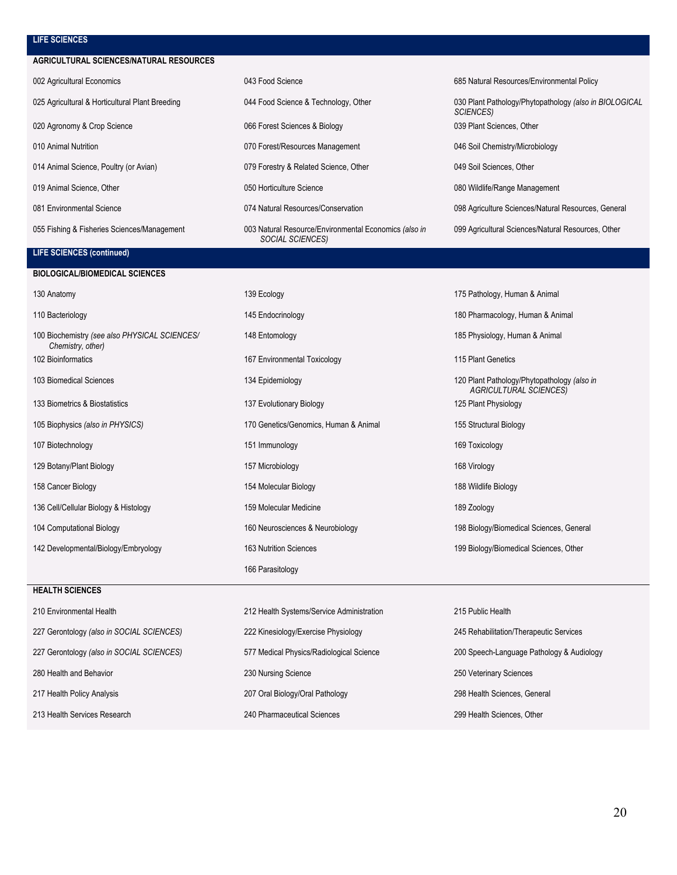#### **LIFE SCIENCES**

#### **AGRICULTURAL SCIENCES/NATURAL RESOURCES**

| 002 Agricultural Economics                      | 043 Food Science                                                                | 685 Natural Resources/Environmental Policy                          |
|-------------------------------------------------|---------------------------------------------------------------------------------|---------------------------------------------------------------------|
| 025 Agricultural & Horticultural Plant Breeding | 044 Food Science & Technology, Other                                            | 030 Plant Pathology/Phytopathology (also in BIOLOGICAL<br>SCIENCES) |
| 020 Agronomy & Crop Science                     | 066 Forest Sciences & Biology                                                   | 039 Plant Sciences, Other                                           |
| 010 Animal Nutrition                            | 070 Forest/Resources Management                                                 | 046 Soil Chemistry/Microbiology                                     |
| 014 Animal Science, Poultry (or Avian)          | 079 Forestry & Related Science, Other                                           | 049 Soil Sciences, Other                                            |
| 019 Animal Science, Other                       | 050 Horticulture Science                                                        | 080 Wildlife/Range Management                                       |
| 081 Environmental Science                       | 074 Natural Resources/Conservation                                              | 098 Agriculture Sciences/Natural Resources, General                 |
| 055 Fishing & Fisheries Sciences/Management     | 003 Natural Resource/Environmental Economics (also in<br><b>SOCIAL SCIENCES</b> | 099 Agricultural Sciences/Natural Resources, Other                  |

#### **LIFE SCIENCES (continued)**

| <b>BIOLOGICAL/BIOMEDICAL SCIENCES</b>                              |                                           |                                                                              |
|--------------------------------------------------------------------|-------------------------------------------|------------------------------------------------------------------------------|
| 130 Anatomy                                                        | 139 Ecology                               | 175 Pathology, Human & Animal                                                |
| 110 Bacteriology                                                   | 145 Endocrinology                         | 180 Pharmacology, Human & Animal                                             |
| 100 Biochemistry (see also PHYSICAL SCIENCES/<br>Chemistry, other) | 148 Entomology                            | 185 Physiology, Human & Animal                                               |
| 102 Bioinformatics                                                 | 167 Environmental Toxicology              | 115 Plant Genetics                                                           |
| 103 Biomedical Sciences                                            | 134 Epidemiology                          | 120 Plant Pathology/Phytopathology (also in<br><b>AGRICULTURAL SCIENCES)</b> |
| 133 Biometrics & Biostatistics                                     | 137 Evolutionary Biology                  | 125 Plant Physiology                                                         |
| 105 Biophysics (also in PHYSICS)                                   | 170 Genetics/Genomics, Human & Animal     | 155 Structural Biology                                                       |
| 107 Biotechnology                                                  | 151 Immunology                            | 169 Toxicology                                                               |
| 129 Botany/Plant Biology                                           | 157 Microbiology                          | 168 Virology                                                                 |
| 158 Cancer Biology                                                 | 154 Molecular Biology                     | 188 Wildlife Biology                                                         |
| 136 Cell/Cellular Biology & Histology                              | 159 Molecular Medicine                    | 189 Zoology                                                                  |
| 104 Computational Biology                                          | 160 Neurosciences & Neurobiology          | 198 Biology/Biomedical Sciences, General                                     |
| 142 Developmental/Biology/Embryology                               | 163 Nutrition Sciences                    | 199 Biology/Biomedical Sciences, Other                                       |
|                                                                    | 166 Parasitology                          |                                                                              |
| <b>HEALTH SCIENCES</b>                                             |                                           |                                                                              |
| 210 Environmental Health                                           | 212 Health Systems/Service Administration | 215 Public Health                                                            |
| 227 Gerontology (also in SOCIAL SCIENCES)                          | 222 Kinesiology/Exercise Physiology       | 245 Rehabilitation/Therapeutic Services                                      |
| 227 Gerontology (also in SOCIAL SCIENCES)                          | 577 Medical Physics/Radiological Science  | 200 Speech-Language Pathology & Audiology                                    |
| 280 Health and Behavior                                            | 230 Nursing Science                       | 250 Veterinary Sciences                                                      |
| 217 Health Policy Analysis                                         | 207 Oral Biology/Oral Pathology           | 298 Health Sciences, General                                                 |

213 Health Services Research 240 Pharmaceutical Sciences 299 Health Sciences, Other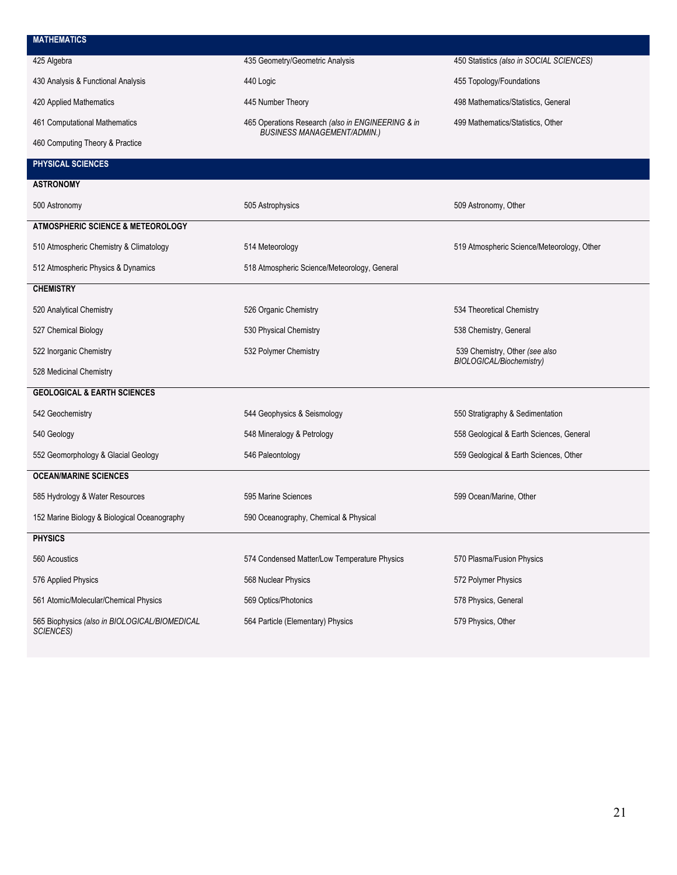| <b>MATHEMATICS</b>                                         |                                                   |                                                            |
|------------------------------------------------------------|---------------------------------------------------|------------------------------------------------------------|
| 425 Algebra                                                | 435 Geometry/Geometric Analysis                   | 450 Statistics (also in SOCIAL SCIENCES)                   |
| 430 Analysis & Functional Analysis                         | 440 Logic                                         | 455 Topology/Foundations                                   |
| 420 Applied Mathematics                                    | 445 Number Theory                                 | 498 Mathematics/Statistics, General                        |
| 461 Computational Mathematics                              | 465 Operations Research (also in ENGINEERING & in | 499 Mathematics/Statistics, Other                          |
| 460 Computing Theory & Practice                            | <b>BUSINESS MANAGEMENT/ADMIN.)</b>                |                                                            |
| PHYSICAL SCIENCES                                          |                                                   |                                                            |
| <b>ASTRONOMY</b>                                           |                                                   |                                                            |
| 500 Astronomy                                              | 505 Astrophysics                                  | 509 Astronomy, Other                                       |
| ATMOSPHERIC SCIENCE & METEOROLOGY                          |                                                   |                                                            |
| 510 Atmospheric Chemistry & Climatology                    | 514 Meteorology                                   | 519 Atmospheric Science/Meteorology, Other                 |
| 512 Atmospheric Physics & Dynamics                         | 518 Atmospheric Science/Meteorology, General      |                                                            |
| <b>CHEMISTRY</b>                                           |                                                   |                                                            |
| 520 Analytical Chemistry                                   | 526 Organic Chemistry                             | 534 Theoretical Chemistry                                  |
| 527 Chemical Biology                                       | 530 Physical Chemistry                            | 538 Chemistry, General                                     |
| 522 Inorganic Chemistry                                    | 532 Polymer Chemistry                             | 539 Chemistry, Other (see also<br>BIOLOGICAL/Biochemistry) |
| 528 Medicinal Chemistry                                    |                                                   |                                                            |
| <b>GEOLOGICAL &amp; EARTH SCIENCES</b>                     |                                                   |                                                            |
| 542 Geochemistry                                           | 544 Geophysics & Seismology                       | 550 Stratigraphy & Sedimentation                           |
| 540 Geology                                                | 548 Mineralogy & Petrology                        | 558 Geological & Earth Sciences, General                   |
| 552 Geomorphology & Glacial Geology                        | 546 Paleontology                                  | 559 Geological & Earth Sciences, Other                     |
| <b>OCEAN/MARINE SCIENCES</b>                               |                                                   |                                                            |
| 585 Hydrology & Water Resources                            | 595 Marine Sciences                               | 599 Ocean/Marine, Other                                    |
| 152 Marine Biology & Biological Oceanography               | 590 Oceanography, Chemical & Physical             |                                                            |
| <b>PHYSICS</b>                                             |                                                   |                                                            |
| 560 Acoustics                                              | 574 Condensed Matter/Low Temperature Physics      | 570 Plasma/Fusion Physics                                  |
| 576 Applied Physics                                        | 568 Nuclear Physics                               | 572 Polymer Physics                                        |
| 561 Atomic/Molecular/Chemical Physics                      | 569 Optics/Photonics                              | 578 Physics, General                                       |
| 565 Biophysics (also in BIOLOGICAL/BIOMEDICAL<br>SCIENCES) | 564 Particle (Elementary) Physics                 | 579 Physics, Other                                         |